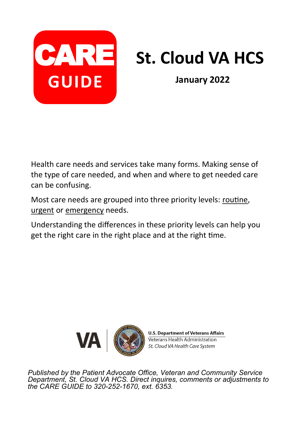

# CARE St. Cloud VA HCS

**January 2022**

Health care needs and services take many forms. Making sense of the type of care needed, and when and where to get needed care can be confusing.

Most care needs are grouped into three priority levels: routine, urgent or emergency needs.

Understanding the differences in these priority levels can help you get the right care in the right place and at the right time.



**U.S. Department of Veterans Affairs** Veterans Health Administration St. Cloud VA Health Care System

*Published by the Patient Advocate Office, Veteran and Community Service Department, St. Cloud VA HCS. Direct inquires, comments or adjustments to the CARE GUIDE to 320-252-1670, ext. 6353.*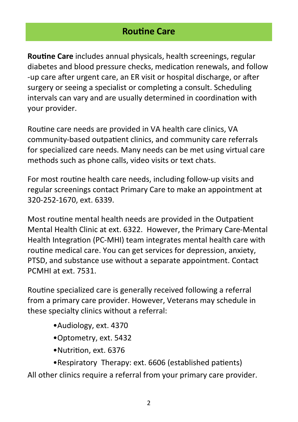### **Routine Care**

**Routine Care** includes annual physicals, health screenings, regular diabetes and blood pressure checks, medication renewals, and follow -up care after urgent care, an ER visit or hospital discharge, or after surgery or seeing a specialist or completing a consult. Scheduling intervals can vary and are usually determined in coordination with your provider.

Routine care needs are provided in VA health care clinics, VA community-based outpatient clinics, and community care referrals for specialized care needs. Many needs can be met using virtual care methods such as phone calls, video visits or text chats.

For most routine health care needs, including follow-up visits and regular screenings contact Primary Care to make an appointment at 320-252-1670, ext. 6339.

Most routine mental health needs are provided in the Outpatient Mental Health Clinic at ext. 6322. However, the Primary Care-Mental Health Integration (PC-MHI) team integrates mental health care with routine medical care. You can get services for depression, anxiety, PTSD, and substance use without a separate appointment. Contact PCMHI at ext. 7531.

Routine specialized care is generally received following a referral from a primary care provider. However, Veterans may schedule in these specialty clinics without a referral:

- •Audiology, ext. 4370
- •Optometry, ext. 5432
- •Nutrition, ext. 6376
- •Respiratory Therapy: ext. 6606 (established patients)

All other clinics require a referral from your primary care provider.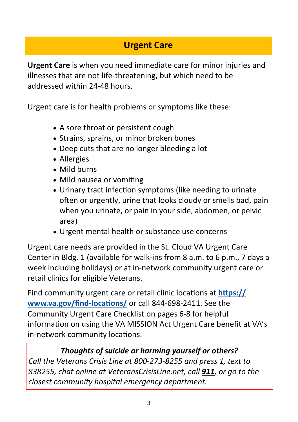# **Urgent Care**

**Urgent Care** is when you need immediate care for minor injuries and illnesses that are not life-threatening, but which need to be addressed within 24-48 hours.

Urgent care is for health problems or symptoms like these:

- A sore throat or persistent cough
- Strains, sprains, or minor broken bones
- Deep cuts that are no longer bleeding a lot
- Allergies
- Mild burns
- Mild nausea or vomiting
- Urinary tract infection symptoms (like needing to urinate often or urgently, urine that looks cloudy or smells bad, pain when you urinate, or pain in your side, abdomen, or pelvic area)
- Urgent mental health or substance use concerns

Urgent care needs are provided in the St. Cloud VA Urgent Care Center in Bldg. 1 (available for walk-ins from 8 a.m. to 6 p.m., 7 days a week including holidays) or at in-network community urgent care or retail clinics for eligible Veterans.

Find community urgent care or retail clinic locations at **[https://](https://www.va.gov/find-locations/) [www.va.gov/find](https://www.va.gov/find-locations/)-locations/** or call 844-698-2411. See the Community Urgent Care Checklist on pages 6-8 for helpful information on using the VA MISSION Act Urgent Care benefit at VA's in-network community locations.

#### *Thoughts of suicide or harming yourself or others?*

*Call the Veterans Crisis Line at 800-273-8255 and press 1, text to 838255, chat online at VeteransCrisisLine.net, call 911, or go to the closest community hospital emergency department.*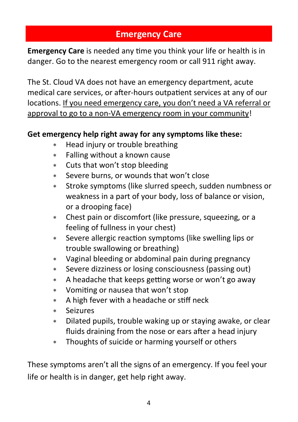# **Emergency Care**

**Emergency Care** is needed any time you think your life or health is in danger. Go to the nearest emergency room or call 911 right away.

The St. Cloud VA does not have an emergency department, acute medical care services, or after-hours outpatient services at any of our locations. If you need emergency care, you don't need a VA referral or approval to go to a non-VA emergency room in your community!

#### **Get emergency help right away for any symptoms like these:**

- \* Head injury or trouble breathing
- Falling without a known cause
- Cuts that won't stop bleeding
- Severe burns, or wounds that won't close
- Stroke symptoms (like slurred speech, sudden numbness or weakness in a part of your body, loss of balance or vision, or a drooping face)
- Chest pain or discomfort (like pressure, squeezing, or a feeling of fullness in your chest)
- Severe allergic reaction symptoms (like swelling lips or trouble swallowing or breathing)
- Vaginal bleeding or abdominal pain during pregnancy
- Severe dizziness or losing consciousness (passing out)
- A headache that keeps getting worse or won't go away
- Vomiting or nausea that won't stop
- A high fever with a headache or stiff neck
- Seizures
- Dilated pupils, trouble waking up or staying awake, or clear fluids draining from the nose or ears after a head injury
- Thoughts of suicide or harming yourself or others

These symptoms aren't all the signs of an emergency. If you feel your life or health is in danger, get help right away.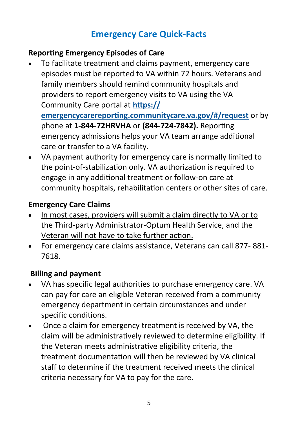# **Emergency Care Quick-Facts**

#### **Reporting Emergency Episodes of Care**

- To facilitate treatment and claims payment, emergency care episodes must be reported to VA within 72 hours. Veterans and family members should remind community hospitals and providers to report emergency visits to VA using the VA Community Care portal at **https:// emergencycarereporting.communitycare.va.gov/#/request** or by phone at **1-844-72HRVHA** or **(844-724-7842).** Reporting emergency admissions helps your VA team arrange additional care or transfer to a VA facility.
- VA payment authority for emergency care is normally limited to the point-of-stabilization only. VA authorization is required to engage in any additional treatment or follow-on care at community hospitals, rehabilitation centers or other sites of care.

## **Emergency Care Claims**

- In most cases, providers will submit a claim directly to VA or to the Third-party Administrator-Optum Health Service, and the Veteran will not have to take further action.
- For emergency care claims assistance, Veterans can call 877- 881- 7618.

## **Billing and payment**

- VA has specific legal authorities to purchase emergency care. VA can pay for care an eligible Veteran received from a community emergency department in certain circumstances and under specific conditions.
- Once a claim for emergency treatment is received by VA, the claim will be administratively reviewed to determine eligibility. If the Veteran meets administrative eligibility criteria, the treatment documentation will then be reviewed by VA clinical staff to determine if the treatment received meets the clinical criteria necessary for VA to pay for the care.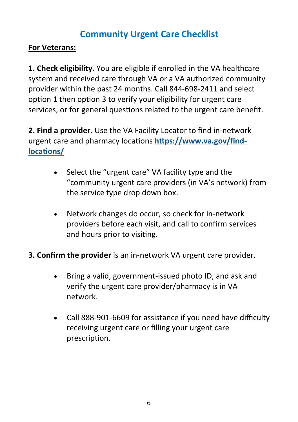## **Community Urgent Care Checklist**

#### **For Veterans:**

**1. Check eligibility.** You are eligible if enrolled in the VA healthcare system and received care through VA or a VA authorized community provider within the past 24 months. Call 844-698-2411 and select option 1 then option 3 to verify your eligibility for urgent care services, or for general questions related to the urgent care benefit.

**2. Find a provider.** Use the VA Facility Locator to find in-network urgent care and pharmacy locations **https://www.va.gov/findlocations/** 

- Select the "urgent care" VA facility type and the "community urgent care providers (in VA's network) from the service type drop down box.
- Network changes do occur, so check for in-network providers before each visit, and call to confirm services and hours prior to visiting.
- **3. Confirm the provider** is an in-network VA urgent care provider.
	- Bring a valid, government-issued photo ID, and ask and verify the urgent care provider/pharmacy is in VA network.
	- Call 888-901-6609 for assistance if you need have difficulty receiving urgent care or filling your urgent care prescription.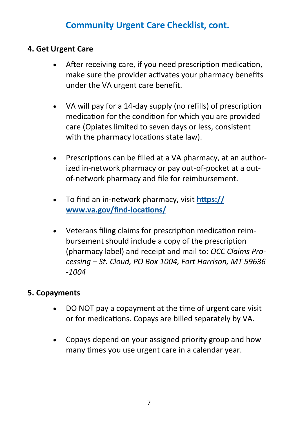## **Community Urgent Care Checklist, cont.**

#### **4. Get Urgent Care**

- After receiving care, if you need prescription medication, make sure the provider activates your pharmacy benefits under the VA urgent care benefit.
- VA will pay for a 14-day supply (no refills) of prescription medication for the condition for which you are provided care (Opiates limited to seven days or less, consistent with the pharmacy locations state law).
- Prescriptions can be filled at a VA pharmacy, at an authorized in-network pharmacy or pay out-of-pocket at a outof-network pharmacy and file for reimbursement.
- To find an in-network pharmacy, visit **https:// www.va.gov/find-locations/**
- Veterans filing claims for prescription medication reimbursement should include a copy of the prescription (pharmacy label) and receipt and mail to: *OCC Claims Processing – St. Cloud, PO Box 1004, Fort Harrison, MT 59636 -1004*

#### **5. Copayments**

- DO NOT pay a copayment at the time of urgent care visit or for medications. Copays are billed separately by VA.
- Copays depend on your assigned priority group and how many times you use urgent care in a calendar year.